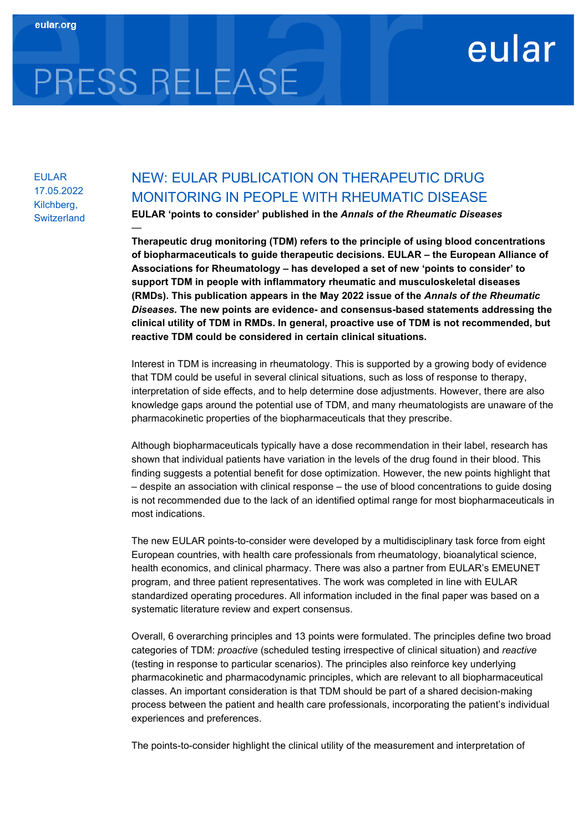## eular

# PRESS RELEASE

—

EULAR 17.05.2022 Kilchberg, **Switzerland** 

### NEW: EULAR PUBLICATION ON THERAPEUTIC DRUG MONITORING IN PEOPLE WITH RHEUMATIC DISEASE

**EULAR 'points to consider' published in the** *Annals of the Rheumatic Diseases* 

**Therapeutic drug monitoring (TDM) refers to the principle of using blood concentrations of biopharmaceuticals to guide therapeutic decisions. EULAR – the European Alliance of Associations for Rheumatology – has developed a set of new 'points to consider' to support TDM in people with inflammatory rheumatic and musculoskeletal diseases (RMDs). This publication appears in the May 2022 issue of the** *Annals of the Rheumatic Diseases.* **The new points are evidence- and consensus-based statements addressing the clinical utility of TDM in RMDs. In general, proactive use of TDM is not recommended, but reactive TDM could be considered in certain clinical situations.**

Interest in TDM is increasing in rheumatology. This is supported by a growing body of evidence that TDM could be useful in several clinical situations, such as loss of response to therapy, interpretation of side effects, and to help determine dose adjustments. However, there are also knowledge gaps around the potential use of TDM, and many rheumatologists are unaware of the pharmacokinetic properties of the biopharmaceuticals that they prescribe.

Although biopharmaceuticals typically have a dose recommendation in their label, research has shown that individual patients have variation in the levels of the drug found in their blood. This finding suggests a potential benefit for dose optimization. However, the new points highlight that – despite an association with clinical response – the use of blood concentrations to guide dosing is not recommended due to the lack of an identified optimal range for most biopharmaceuticals in most indications.

The new EULAR points-to-consider were developed by a multidisciplinary task force from eight European countries, with health care professionals from rheumatology, bioanalytical science, health economics, and clinical pharmacy. There was also a partner from EULAR's EMEUNET program, and three patient representatives. The work was completed in line with EULAR standardized operating procedures. All information included in the final paper was based on a systematic literature review and expert consensus.

Overall, 6 overarching principles and 13 points were formulated. The principles define two broad categories of TDM: *proactive* (scheduled testing irrespective of clinical situation) and *reactive* (testing in response to particular scenarios). The principles also reinforce key underlying pharmacokinetic and pharmacodynamic principles, which are relevant to all biopharmaceutical classes. An important consideration is that TDM should be part of a shared decision-making process between the patient and health care professionals, incorporating the patient's individual experiences and preferences.

The points-to-consider highlight the clinical utility of the measurement and interpretation of